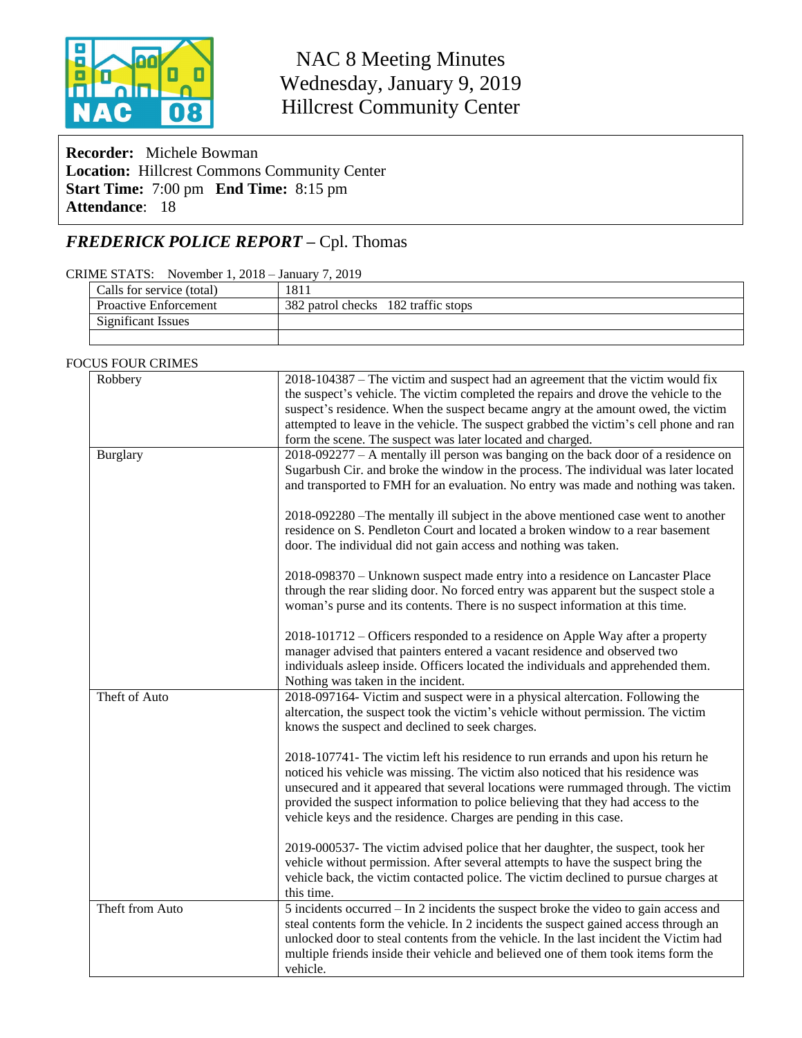

NAC 8 Meeting Minutes Wednesday, January 9, 2019 Hillcrest Community Center

**Recorder:** Michele Bowman **Location:** Hillcrest Commons Community Center **Start Time:** 7:00 pm **End Time:** 8:15 pm **Attendance**: 18

# *FREDERICK POLICE REPORT –* Cpl. Thomas

#### CRIME STATS: November 1, 2018 – January 7, 2019

| Calls for service (total)    | 1811                                |
|------------------------------|-------------------------------------|
| <b>Proactive Enforcement</b> | 382 patrol checks 182 traffic stops |
| <b>Significant Issues</b>    |                                     |
|                              |                                     |

#### FOCUS FOUR CRIMES

| Robbery         | 2018-104387 – The victim and suspect had an agreement that the victim would fix        |
|-----------------|----------------------------------------------------------------------------------------|
|                 | the suspect's vehicle. The victim completed the repairs and drove the vehicle to the   |
|                 | suspect's residence. When the suspect became angry at the amount owed, the victim      |
|                 | attempted to leave in the vehicle. The suspect grabbed the victim's cell phone and ran |
|                 | form the scene. The suspect was later located and charged.                             |
| <b>Burglary</b> | 2018-092277 – A mentally ill person was banging on the back door of a residence on     |
|                 | Sugarbush Cir. and broke the window in the process. The individual was later located   |
|                 | and transported to FMH for an evaluation. No entry was made and nothing was taken.     |
|                 |                                                                                        |
|                 | 2018-092280 - The mentally ill subject in the above mentioned case went to another     |
|                 | residence on S. Pendleton Court and located a broken window to a rear basement         |
|                 | door. The individual did not gain access and nothing was taken.                        |
|                 |                                                                                        |
|                 | 2018-098370 – Unknown suspect made entry into a residence on Lancaster Place           |
|                 | through the rear sliding door. No forced entry was apparent but the suspect stole a    |
|                 | woman's purse and its contents. There is no suspect information at this time.          |
|                 |                                                                                        |
|                 | 2018-101712 – Officers responded to a residence on Apple Way after a property          |
|                 | manager advised that painters entered a vacant residence and observed two              |
|                 | individuals asleep inside. Officers located the individuals and apprehended them.      |
|                 | Nothing was taken in the incident.                                                     |
| Theft of Auto   | 2018-097164- Victim and suspect were in a physical altercation. Following the          |
|                 | altercation, the suspect took the victim's vehicle without permission. The victim      |
|                 | knows the suspect and declined to seek charges.                                        |
|                 |                                                                                        |
|                 | 2018-107741- The victim left his residence to run errands and upon his return he       |
|                 | noticed his vehicle was missing. The victim also noticed that his residence was        |
|                 | unsecured and it appeared that several locations were rummaged through. The victim     |
|                 | provided the suspect information to police believing that they had access to the       |
|                 | vehicle keys and the residence. Charges are pending in this case.                      |
|                 |                                                                                        |
|                 | 2019-000537- The victim advised police that her daughter, the suspect, took her        |
|                 | vehicle without permission. After several attempts to have the suspect bring the       |
|                 | vehicle back, the victim contacted police. The victim declined to pursue charges at    |
|                 | this time.                                                                             |
| Theft from Auto | 5 incidents occurred – In 2 incidents the suspect broke the video to gain access and   |
|                 | steal contents form the vehicle. In 2 incidents the suspect gained access through an   |
|                 | unlocked door to steal contents from the vehicle. In the last incident the Victim had  |
|                 | multiple friends inside their vehicle and believed one of them took items form the     |
|                 | vehicle.                                                                               |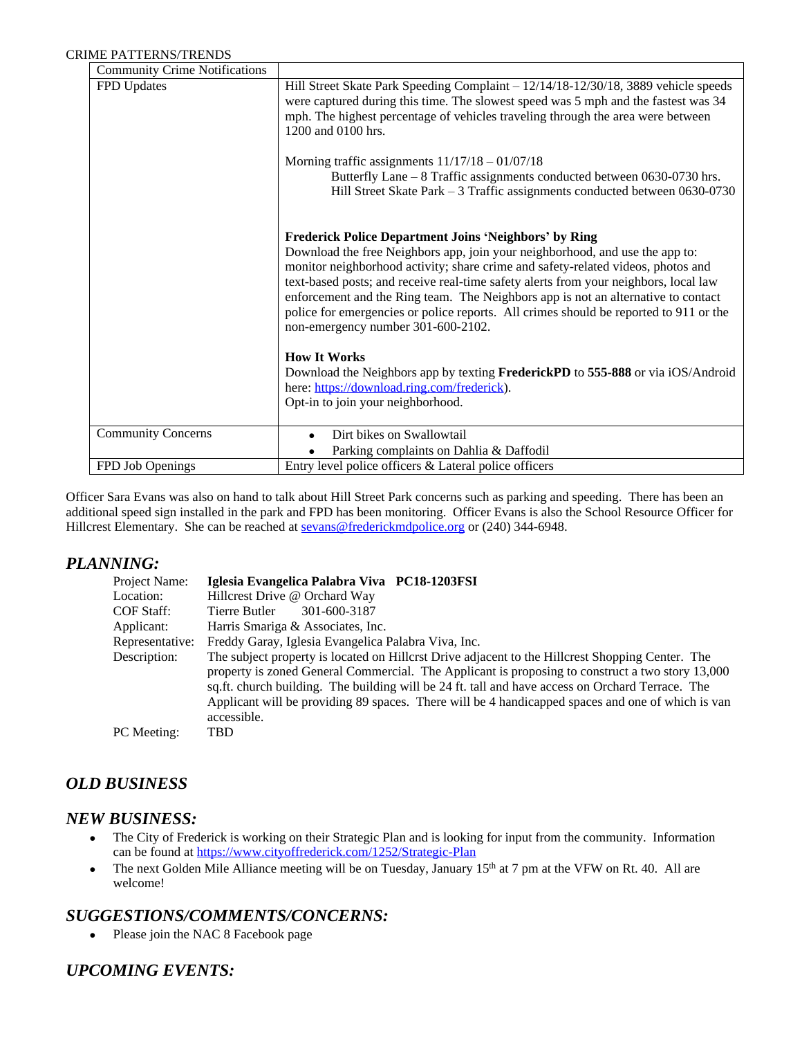| <b>Community Crime Notifications</b> |                                                                                                                                                                                                                                                                                                                                                                                                                                                                                                                                              |
|--------------------------------------|----------------------------------------------------------------------------------------------------------------------------------------------------------------------------------------------------------------------------------------------------------------------------------------------------------------------------------------------------------------------------------------------------------------------------------------------------------------------------------------------------------------------------------------------|
| FPD Updates                          | Hill Street Skate Park Speeding Complaint – 12/14/18-12/30/18, 3889 vehicle speeds<br>were captured during this time. The slowest speed was 5 mph and the fastest was 34<br>mph. The highest percentage of vehicles traveling through the area were between<br>1200 and 0100 hrs.                                                                                                                                                                                                                                                            |
|                                      | Morning traffic assignments $11/17/18 - 01/07/18$<br>Butterfly Lane $-8$ Traffic assignments conducted between 0630-0730 hrs.<br>Hill Street Skate Park - 3 Traffic assignments conducted between 0630-0730                                                                                                                                                                                                                                                                                                                                  |
|                                      | <b>Frederick Police Department Joins 'Neighbors' by Ring</b><br>Download the free Neighbors app, join your neighborhood, and use the app to:<br>monitor neighborhood activity; share crime and safety-related videos, photos and<br>text-based posts; and receive real-time safety alerts from your neighbors, local law<br>enforcement and the Ring team. The Neighbors app is not an alternative to contact<br>police for emergencies or police reports. All crimes should be reported to 911 or the<br>non-emergency number 301-600-2102. |
|                                      | <b>How It Works</b><br>Download the Neighbors app by texting FrederickPD to 555-888 or via iOS/Android                                                                                                                                                                                                                                                                                                                                                                                                                                       |
|                                      | here: https://download.ring.com/frederick).                                                                                                                                                                                                                                                                                                                                                                                                                                                                                                  |
|                                      | Opt-in to join your neighborhood.                                                                                                                                                                                                                                                                                                                                                                                                                                                                                                            |
| <b>Community Concerns</b>            | Dirt bikes on Swallowtail                                                                                                                                                                                                                                                                                                                                                                                                                                                                                                                    |
|                                      | Parking complaints on Dahlia & Daffodil                                                                                                                                                                                                                                                                                                                                                                                                                                                                                                      |
| FPD Job Openings                     | Entry level police officers & Lateral police officers                                                                                                                                                                                                                                                                                                                                                                                                                                                                                        |

Officer Sara Evans was also on hand to talk about Hill Street Park concerns such as parking and speeding. There has been an additional speed sign installed in the park and FPD has been monitoring. Officer Evans is also the School Resource Officer for Hillcrest Elementary. She can be reached at [sevans@frederickmdpolice.org](mailto:sevans@frederickmdpolice.org) or (240) 344-6948.

### *PLANNING:*

| Project Name:   | Iglesia Evangelica Palabra Viva PC18-1203FSI                                                                                                                                                                                                                                                                                                                                                                                 |
|-----------------|------------------------------------------------------------------------------------------------------------------------------------------------------------------------------------------------------------------------------------------------------------------------------------------------------------------------------------------------------------------------------------------------------------------------------|
| Location:       | Hillcrest Drive @ Orchard Way                                                                                                                                                                                                                                                                                                                                                                                                |
| COF Staff:      | Tierre Butler<br>301-600-3187                                                                                                                                                                                                                                                                                                                                                                                                |
| Applicant:      | Harris Smariga & Associates, Inc.                                                                                                                                                                                                                                                                                                                                                                                            |
| Representative: | Freddy Garay, Iglesia Evangelica Palabra Viva, Inc.                                                                                                                                                                                                                                                                                                                                                                          |
| Description:    | The subject property is located on Hillcrst Drive adjacent to the Hillcrest Shopping Center. The<br>property is zoned General Commercial. The Applicant is proposing to construct a two story 13,000<br>sq.ft. church building. The building will be 24 ft. tall and have access on Orchard Terrace. The<br>Applicant will be providing 89 spaces. There will be 4 handicapped spaces and one of which is van<br>accessible. |
| PC Meeting:     | TBD                                                                                                                                                                                                                                                                                                                                                                                                                          |

# *OLD BUSINESS*

### *NEW BUSINESS:*

- The City of Frederick is working on their Strategic Plan and is looking for input from the community. Information can be found at<https://www.cityoffrederick.com/1252/Strategic-Plan>
- The next Golden Mile Alliance meeting will be on Tuesday, January 15<sup>th</sup> at 7 pm at the VFW on Rt. 40. All are welcome!

## *SUGGESTIONS/COMMENTS/CONCERNS:*

• Please join the NAC 8 Facebook page

# *UPCOMING EVENTS:*